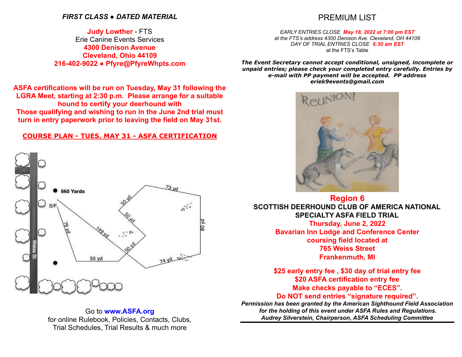# *FIRST CLASS ● DATED MATERIAL*

**Judy Lowther** - FTS Erie Canine Events Services **4300 Denison Avenue Cleveland, Ohio 44109 216-402-9022 ● Pfyre@PfyreWhpts.com**

**ASFA certifications will be run on Tuesday, May 31 following the LGRA Meet, starting at 2:30 p.m. Please arrange for a suitable hound to certify your deerhound with Those qualifying and wishing to run in the June 2nd trial must turn in entry paperwork prior to leaving the field on May 31st.**

## **COURSE PLAN - TUES. MAY 31 - ASFA CERTIFICATION**



Go to **[www.ASFA.org](http://www.asfa.org)** for online Rulebook, Policies, Contacts, Clubs, Trial Schedules, Trial Results & much more

# PREMIUM LIST

*EARLY ENTRIES CLOSE May 18, 2022 at 7:00 pm EST at the FTS's address 4300 Denison Ave. Cleveland, OH 44109 DAY OF TRIAL ENTRIES CLOSE 6:30 am EST* at the FTS's Table

*The Event Secretary cannot accept conditional, unsigned, incomplete or unpaid entries; please check your completed entry carefully. Entries by e-mail with PP payment will be accepted. PP address eriek9events@gmail.com*



**Region 6 SCOTTISH DEERHOUND CLUB OF AMERICA NATIONAL SPECIALTY ASFA FIELD TRIAL Thursday, June 2, 2022 Bavarian Inn Lodge and Conference Center coursing field located at 765 Weiss Street Frankenmuth, MI**

**\$25 early entry fee , \$30 day of trial entry fee \$20 ASFA certification entry fee Make checks payable to "ECES". Do NOT send entries "signature required".**

*Permission has been granted by the American Sighthound Field Association for the holding of this event under ASFA Rules and Regulations. Audrey Silverstein, Chairperson, ASFA Scheduling Committee*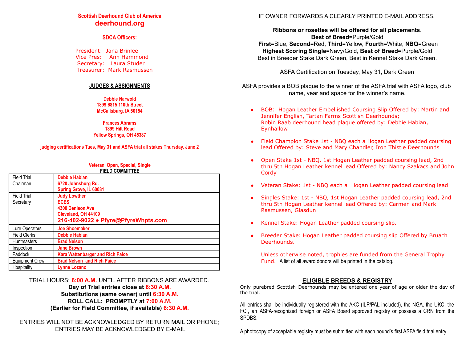## **Scottish Deerhound Club of America deerhound.org**

### **SDCA Officers:**

President: Jana Brinlee Vice Pres: Ann Hammond Secretary: Laura Studer Treasurer: Mark Rasmussen

### **JUDGES & ASSIGNMENTS**

**Debbie Narwold 1899 6815 110th Street McCallsburg, IA 50154**

**Frances Abrams 1899 Hilt Road Yellow Springs, OH 45387**

**judging certifications Tues, May 31 and ASFA trial all stakes Thursday, June 2**

| Veteran, Open, Special, Single |                                         |  |  |  |
|--------------------------------|-----------------------------------------|--|--|--|
| <b>FIELD COMMITTEE</b>         |                                         |  |  |  |
| <b>Field Trial</b>             | <b>Debbie Habian</b>                    |  |  |  |
| Chairman                       | 6720 Johnsburg Rd.                      |  |  |  |
|                                | Spring Grove, IL 60081                  |  |  |  |
| <b>Field Trial</b>             | <b>Judy Lowther</b>                     |  |  |  |
| Secretary                      | <b>ECES</b>                             |  |  |  |
|                                | <b>4300 Denison Ave</b>                 |  |  |  |
|                                | Cleveland, OH 44109                     |  |  |  |
|                                | 216-402-9022 • Pfyre@PfyreWhpts.com     |  |  |  |
| Lure Operators                 | <b>Joe Shoemaker</b>                    |  |  |  |
| <b>Field Clerks</b>            | <b>Debbie Habian</b>                    |  |  |  |
| <b>Huntmasters</b>             | <b>Brad Nelson</b>                      |  |  |  |
| Inspection                     | <b>Jane Brown</b>                       |  |  |  |
| Paddock                        | <b>Kara Wattenbarger and Rich Paice</b> |  |  |  |
| <b>Equipment Crew</b>          | <b>Brad Nelson and Rich Paice</b>       |  |  |  |
| Hospitality                    | <b>Lynne Lozano</b>                     |  |  |  |

TRIAL HOURS: **6:00 A.M.** UNTIL AFTER RIBBONS ARE AWARDED.

**Day of Trial entries close at 6:30 A.M. Substitutions (same owner) until 6:30 A.M. ROLL CALL: PROMPTLY at 7:00 A.M. (Earlier for Field Committee, if available) 6:30 A.M.**

ENTRIES WILL NOT BE ACKNOWLEDGED BY RETURN MAIL OR PHONE; ENTRIES MAY BE ACKNOWLEDGED BY E-MAIL

## IF OWNER FORWARDS A CLEARLY PRINTED E-MAIL ADDRESS.

**Ribbons or rosettes will be offered for all placements**. **Best of Breed**=Purple/Gold **First**=Blue, **Second**=Red, **Third**=Yellow, **Fourth**=White, **NBQ**=Green **Highest Scoring Single**=Navy/Gold, **Best of Breed**=Purple/Gold Best in Breeder Stake Dark Green, Best in Kennel Stake Dark Green.

ASFA Certification on Tuesday, May 31, Dark Green

ASFA provides a BOB plaque to the winner of the ASFA trial with ASFA logo, club name, year and space for the winner's name.

- BOB: Hogan Leather Embellished Coursing Slip Offered by: Martin and Jennifer English, Tartan Farms Scottish Deerhounds; Robin Raab deerhound head plaque offered by: Debbie Habian, **Eynhallow**
- Field Champion Stake 1st NBQ each a Hogan Leather padded coursing lead Offered by: Steve and Mary Chandler, Iron Thistle Deerhounds
- Open Stake 1st NBQ, 1st Hogan Leather padded coursing lead, 2nd thru 5th Hogan Leather kennel lead Offered by: Nancy Szakacs and John Cordy
- Veteran Stake: 1st NBQ each a Hogan Leather padded coursing lead
- Singles Stake: 1st NBO, 1st Hogan Leather padded coursing lead, 2nd thru 5th Hogan Leather kennel lead Offered by: Carmen and Mark Rasmussen, Glasdun
- Kennel Stake: Hogan Leather padded coursing slip.
- Breeder Stake: Hogan Leather padded coursing slip Offered by Bruach Deerhounds.

Unless otherwise noted, trophies are funded from the General Trophy Fund. A list of all award donors will be printed in the catalog.

## **ELIGIBLE BREEDS & REGISTRY**

Only purebred Scottish Deerhounds may be entered one year of age or older the day of the trial.

All entries shall be individually registered with the AKC (ILP/PAL included), the NGA, the UKC, the FCI, an ASFA-recognized foreign or ASFA Board approved registry or possess a CRN from the SPDBS.

A photocopy of acceptable registry must be submitted with each hound's first ASFA field trial entry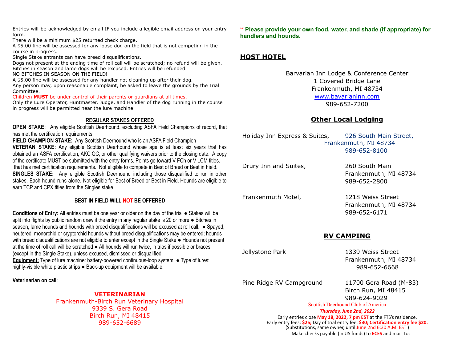Entries will be acknowledged by email IF you include a legible email address on your entry form.

There will be a minimum \$25 returned check charge.

A \$5.00 fine will be assessed for any loose dog on the field that is not competing in the course in progress.

Single Stake entrants can have breed disqualifications.

Dogs not present at the ending time of roll call will be scratched; no refund will be given. Bitches in season and lame dogs will be excused. Entries will be refunded. NO BITCHES IN SEASON ON THE FIELD!

A \$5.00 fine will be assessed for any handler not cleaning up after their dog. Any person may, upon reasonable complaint, be asked to leave the grounds by the Trial Committee.

Children **MUST** be under control of their parents or guardians at all times.

Only the Lure Operator, Huntmaster, Judge, and Handler of the dog running in the course in progress will be permitted near the lure machine.

## **REGULAR STAKES OFFERED**

**OPEN STAKE:** Any eligible Scottish Deerhound, excluding ASFA Field Champions of record, that has met the certification requirements.

**FIELD CHAMPION STAKE:** Any Scottish Deerhound who is an ASFA Field Champion **VETERAN STAKE:** Any eligible Scottish Deerhound whose age is at least six years that has obtained an ASFA certification, AKC QC, or other qualifying waivers prior to the closing date. A copy of the certificate MUST be submitted with the entry forms. Points go toward V-FCh or V-LCM titles. that has met certification requirements. Not eligible to compete in Best of Breed or Best in Field. **SINGLES STAKE:** Any eligible Scottish Deerhound including those disqualified to run in other stakes. Each hound runs alone. Not eligible for Best of Breed or Best in Field. Hounds are eligible to earn TCP and CPX titles from the Singles stake.

## **BEST IN FIELD WILL NOT BE OFFERED**

**Conditions of Entry:** All entries must be one year or older on the day of the trial ● Stakes will be split into flights by public random draw if the entry in any regular stake is 20 or more • Bitches in season, lame hounds and hounds with breed disqualifications will be excused at roll call. ● Spayed, neutered, monorchid or cryptorchid hounds without breed disqualifications may be entered; hounds with breed disqualifications are not eligible to enter except in the Single Stake · Hounds not present at the time of roll call will be scratched ● All hounds will run twice, in trios if possible or braces (except in the Single Stake), unless excused, dismissed or disqualified. **Equipment:** Type of lure machine: battery-powered continuous-loop system. ● Type of lures: highly-visible white plastic strips ● Back-up equipment will be available.

## **Veterinarian on call**:

## **VETERINARIAN**

Frankenmuth-Birch Run Veterinary Hospital 9339 S. Gera Road Birch Run, MI 48415 989-652-6689

**\*\* Please provide your own food, water, and shade (if appropriate) for handlers and hounds.**

## **HOST HOTEL**

Barvarian Inn Lodge & Conference Center 1 Covered Bridge Lane Frankenmuth, MI 48734 [www.bavarianinn.com](http://www.bavarianinn.com) 989-652-7200

# **Other Local Lodging**

Holiday Inn Express & Suites, 926 South Main Street, Frankenmuth, MI 48734 989-652-8100

Drury Inn and Suites, 260 South Main

Frankenmuth, MI 48734 989-652-2800

Frankenmuth Motel, 1218 Weiss Street

Frankenmuth, MI 48734 989-652-6171

# **RV CAMPING**

Jellystone Park 1339 Weiss Street Frankenmuth, MI 48734 989-652-6668

Pine Ridge RV Campground 11700 Gera Road (M-83)

Birch Run, MI 48415 989-624-9029

Scottish Deerhound Club of America

*Thursday, June 2nd, 2022*

Early entries close **May 18, 2022, 7 pm EST** at the FTS's residence. Early entry fees: **\$25;** Day of trial entry fee: **\$30; Certification entry fee \$20.** (Substitutions, same owner, until June 2nd 6:30 A.M. EST ) Make checks payable (in US funds) to **ECES** and mail to: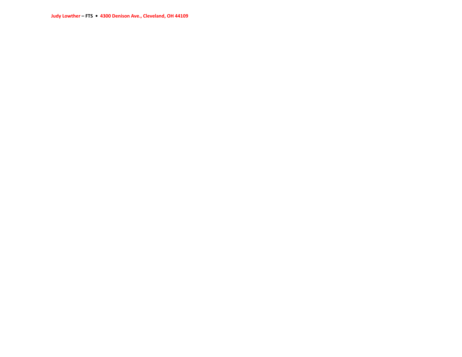**Judy Lowther – FTS • 4300 Denison Ave., Cleveland, OH 44109**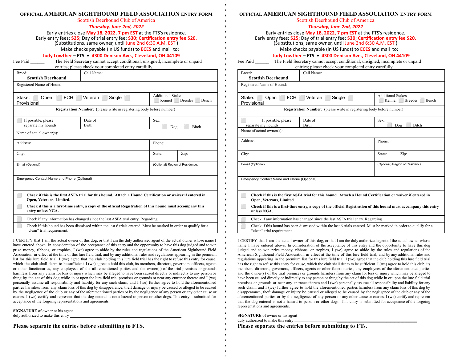### **OFFICIAL AMERICAN SIGHTHOUND FIELD ASSOCIATION ENTRY FORM**

Scottish Deerhound Club of America

#### *Thursday, June 2nd, 2022*

Early entries close **May 18, 2022, 7 pm EST** at the FTS's residence. Early entry fees: **\$25;** Day of trial entry fee: **\$30; Certification entry fee \$20.** (Substitutions, same owner, until June 2nd 6:30 A.M. EST ) Make checks payable (in US funds) to **ECES** and mail to:

#### **Judy Lowther – FTS • 4300 Denison Ave., Cleveland, OH 44109**

Fee Paid The Field Secretary cannot accept conditional, unsigned, incomplete or unpaid entries; please check your completed entry carefully.

| Breed:                                        | Call Name:                                                                                                                                                                                                               |                                              |              |  |
|-----------------------------------------------|--------------------------------------------------------------------------------------------------------------------------------------------------------------------------------------------------------------------------|----------------------------------------------|--------------|--|
| <b>Scottish Deerhound</b>                     |                                                                                                                                                                                                                          |                                              |              |  |
| Registered Name of Hound:                     |                                                                                                                                                                                                                          |                                              |              |  |
| <b>FCH</b><br>Stake:<br>Open<br>Provisional   | Kennel                                                                                                                                                                                                                   | <b>Additional Stakes</b><br>Breeder<br>Bench |              |  |
|                                               | <b>Registration Number:</b> (please write in registering body before number)                                                                                                                                             |                                              |              |  |
| If possible, please<br>separate my hounds     | Date of<br>Birth:                                                                                                                                                                                                        | Sex:                                         | Bitch<br>Dog |  |
| Name of actual owner(s):                      |                                                                                                                                                                                                                          |                                              |              |  |
| Address:                                      |                                                                                                                                                                                                                          | Phone:                                       |              |  |
| City:                                         |                                                                                                                                                                                                                          | State:                                       | Zip:         |  |
| E-mail (Optional)                             | (Optional) Region of Residence:                                                                                                                                                                                          |                                              |              |  |
| Emergency Contact Name and Phone (Optional)   |                                                                                                                                                                                                                          |                                              |              |  |
| Open, Veterans, Limited.<br>entry unless NGA. | Check if this is the first ASFA trial for this hound. Attach a Hound Certification or waiver if entered in<br>Check if this is a first-time entry, a copy of the official Registration of this hound must accompany this |                                              |              |  |
|                                               | Check if any information has changed since the last ASFA trial entry. Regarding                                                                                                                                          |                                              |              |  |
| "clean" trial requirement.                    | Check if this hound has been dismissed within the last 6 trials entered. Must be marked in order to qualify for a                                                                                                        |                                              |              |  |

I CERTIFY that I am the actual owner of this dog, or that I am the duly authorized agent of the actual owner whose name I have entered above. In consideration of the acceptance of this entry and the opportunity to have this dog judged and to win prize money, ribbons, or trophies, I (we) agree to abide by the rules and regulations of the American Sighthound Field Association in effect at the time of this lure field trial, and by any additional rules and regulations appearing in the premium list for this lure field trial. I (we) agree that the club holding this lure field trial has the right to refuse this entry for cause, which the club shall deem to be sufficient. I (we) agree to hold this club, its members, directors, governors, officers, agents or other functionaries, any employees of the aforementioned parties and the owner(s) of the trial premises or grounds harmless from any claim for loss or injury which may be alleged to have been caused directly or indirectly to any person or thing by the act of this dog while in or upon the lure field trial premises or grounds or near any entrance thereto and I (we) personally assume all responsibility and liability for any such claim, and I (we) further agree to hold the aforementioned parties harmless from any claim loss of this dog by disappearance, theft damage or injury be caused or alleged to be caused by the negligence of the club or any of the aforementioned parties or by the negligence of any person or any other cause or causes. I (we) certify and represent that the dog entered is not a hazard to person or other dogs. This entry is submitted for acceptance of the forgoing representations and agreements.

**SIGNATURE** of owner or his agent duly authorized to make this entry

**Please separate the entries before submitting to FTS.**

### **OFFICIAL AMERICAN SIGHTHOUND FIELD ASSOCIATION ENTRY FORM**

Scottish Deerhound Club of America

### *Thursday, June 2nd, 2022*

Early entries close **May 18, 2022, 7 pm EST** at the FTS's residence.

Early entry fees: **\$25;** Day of trial entry fee: **\$30; Certification entry fee \$20.**

(Substitutions, same owner, until June 2nd 6:30 A.M. EST )

Make checks payable (in US funds) to **ECES** and mail to:

### **Judy Lowther – FTS • 4300 Denison Ave., Cleveland, OH 44109**

Fee Paid The Field Secretary cannot accept conditional, unsigned, incomplete or unpaid

| entries; please check your completed entry carefully.                                                                                           |                                    |                                 |              |  |  |  |
|-------------------------------------------------------------------------------------------------------------------------------------------------|------------------------------------|---------------------------------|--------------|--|--|--|
| Breed:                                                                                                                                          | Call Name:                         |                                 |              |  |  |  |
| <b>Scottish Deerhound</b>                                                                                                                       |                                    |                                 |              |  |  |  |
| Registered Name of Hound:                                                                                                                       |                                    |                                 |              |  |  |  |
| <b>FCH</b><br>Stake:<br>Open<br>Provisional                                                                                                     | <b>Additional Stakes</b><br>Kennel | Breeder<br>Bench                |              |  |  |  |
| <b>Registration Number:</b> (please write in registering body before number)                                                                    |                                    |                                 |              |  |  |  |
| If possible, please<br>separate my hounds                                                                                                       | Date of<br>Birth:                  | Sex:                            | Bitch<br>Dog |  |  |  |
| Name of actual owner(s):                                                                                                                        |                                    |                                 |              |  |  |  |
| Address:                                                                                                                                        | Phone:                             |                                 |              |  |  |  |
| City:                                                                                                                                           | State:                             | Zip:                            |              |  |  |  |
| E-mail (Optional)                                                                                                                               |                                    | (Optional) Region of Residence: |              |  |  |  |
| Emergency Contact Name and Phone (Optional)                                                                                                     |                                    |                                 |              |  |  |  |
| Check if this is the first ASFA trial for this hound. Attach a Hound Certification or waiver if entered in<br>Open, Veterans, Limited.          |                                    |                                 |              |  |  |  |
| Check if this is a first-time entry, a copy of the official Registration of this hound must accompany this entry<br>unless NGA.                 |                                    |                                 |              |  |  |  |
| Check if any information has changed since the last ASFA trial entry. Regarding                                                                 |                                    |                                 |              |  |  |  |
| Check if this hound has been dismissed within the last 6 trials entered. Must be marked in order to qualify for a<br>"clean" trial requirement. |                                    |                                 |              |  |  |  |

I CERTIFY that I am the actual owner of this dog, or that I am the duly authorized agent of the actual owner whose name I have entered above. In consideration of the acceptance of this entry and the opportunity to have this dog judged and to win prize money, ribbons, or trophies, I (we) agree to abide by the rules and regulations of the American Sighthound Field Association in effect at the time of this lure field trial, and by any additional rules and regulations appearing in the premium list for this lure field trial. I (we) agree that the club holding this lure field trial has the right to refuse this entry for cause, which the club shall deem to be sufficient. I (we) agree to hold this club, its members, directors, governors, officers, agents or other functionaries, any employees of the aforementioned parties and the owner(s) of the trial premises or grounds harmless from any claim for loss or injury which may be alleged to have been caused directly or indirectly to any person or thing by the act of this dog while in or upon the lure field trial premises or grounds or near any entrance thereto and I (we) personally assume all responsibility and liability for any such claim, and I (we) further agree to hold the aforementioned parties harmless from any claim loss of this dog by disappearance, theft damage or injury be caused or alleged to be caused by the negligence of the club or any of the aforementioned parties or by the negligence of any person or any other cause or causes. I (we) certify and represent that the dog entered is not a hazard to person or other dogs. This entry is submitted for acceptance of the forgoing representations and agreements.

**SIGNATURE** of owner or his agent duly authorized to make this entry

**Please separate the entries before submitting to FTs.**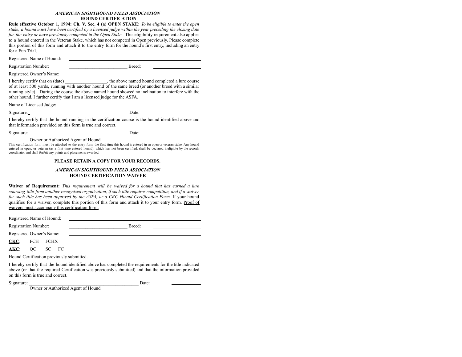#### *AMERICAN SIGHTHOUND FIELD ASSOCIATION* **HOUND CERTIFICATION**

Rule effective October 1, 1994: Ch. V, Sec. 4 (a) OPEN STAKE: To be eligible to enter the open stake, a hound must have been certified by a licensed judge within the year preceding the closing date *for the entry or have previously competed in the Open Stake.* This eligibility requirement also applies to a hound entered in the Veteran Stake, which has not competed in Open previously. Please complete this portion of this form and attach it to the entry form for the hound's first entry, including an entry for a Fun Trial.

Registered Name of Hound:

Registration Number: **Example 2** Breed:

Registered Owner's Name:

I hereby certify that on (date) \_\_\_\_\_\_\_\_\_\_\_\_\_, the above named hound completed a lure course of at least 500 yards, running with another hound of the same breed (or another breed with a similar running style). During the course the above named hound showed no inclination to interfere with the other hound. I further certify that I am a licensed judge for the ASFA.

Name of Licensed Judge:

Signature: Date: Date:

I hereby certify that the hound running in the certification course is the hound identified above and that information provided on this form is true and correct.

Signature: Date:

Owner or Authorized Agent of Hound

This certification form must be attached to the entry form the first time this hound is entered in an open or veteran stake. Any hound entered in open, or veteran (as a first time entered hound), which has not been certified, shall be declared ineligible by the records coordinator and shall forfeit any points and placements awarded.

#### **PLEASE RETAIN A COPY FOR YOUR RECORDS.**

#### *AMERICAN SIGHTHOUND FIELD ASSOCIATION* **HOUND CERTIFICATION WAIVER**

**Waiver of Requirement:** *This requirement will be waived for a hound that has earned a lure coursing title from another recognized organization, if such title requires competition, and if a waiver for such title has been approved by the ASFA, or a CKC Hound Certification Form.* If your hound qualifies for a waiver, complete this portion of this form and attach it to your entry form. Proof of waivers must accompany this certification form.

Registered Name of Hound:

Registration Number: **Breed:** 

Registered Owner's Name:

**CKC**: FCH FCHX

**AKC**: QC SC FC

Hound Certification previously submitted.

Owner or Authorized Agent of Hound

I hereby certify that the hound identified above has completed the requirements for the title indicated above (or that the required Certification was previously submitted) and that the information provided on this form is true and correct.

Signature: \_\_\_\_\_\_\_\_\_\_\_\_\_\_\_\_\_\_\_\_\_\_\_\_\_\_\_\_\_\_\_\_\_\_\_\_\_\_\_\_\_\_\_\_\_\_\_ Date: